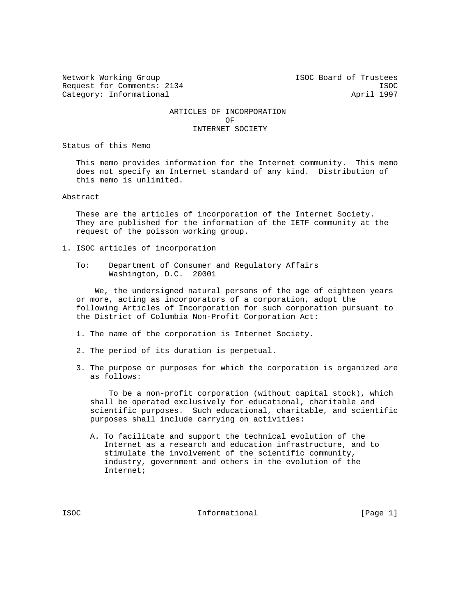Request for Comments: 2134 ISOC Category: Informational and April 1997

Network Working Group ISOC Board of Trustees

## ARTICLES OF INCORPORATION OF INTERNET SOCIETY

Status of this Memo

 This memo provides information for the Internet community. This memo does not specify an Internet standard of any kind. Distribution of this memo is unlimited.

Abstract

 These are the articles of incorporation of the Internet Society. They are published for the information of the IETF community at the request of the poisson working group.

- 1. ISOC articles of incorporation
	- To: Department of Consumer and Regulatory Affairs Washington, D.C. 20001

 We, the undersigned natural persons of the age of eighteen years or more, acting as incorporators of a corporation, adopt the following Articles of Incorporation for such corporation pursuant to the District of Columbia Non-Profit Corporation Act:

- 1. The name of the corporation is Internet Society.
- 2. The period of its duration is perpetual.
- 3. The purpose or purposes for which the corporation is organized are as follows:

 To be a non-profit corporation (without capital stock), which shall be operated exclusively for educational, charitable and scientific purposes. Such educational, charitable, and scientific purposes shall include carrying on activities:

 A. To facilitate and support the technical evolution of the Internet as a research and education infrastructure, and to stimulate the involvement of the scientific community, industry, government and others in the evolution of the Internet;

ISOC 1.1 Informational 1990 [Page 1]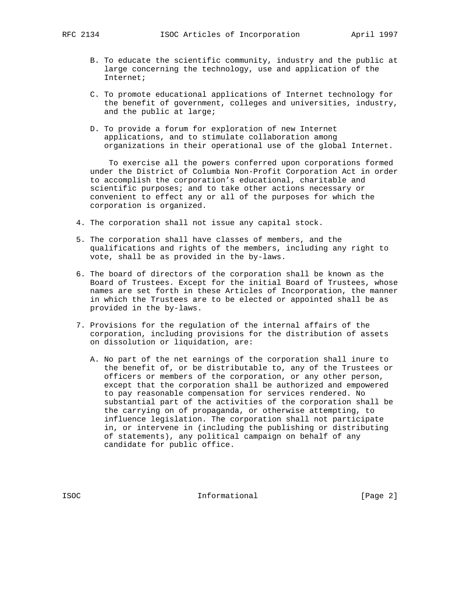- - B. To educate the scientific community, industry and the public at large concerning the technology, use and application of the Internet;
	- C. To promote educational applications of Internet technology for the benefit of government, colleges and universities, industry, and the public at large;
	- D. To provide a forum for exploration of new Internet applications, and to stimulate collaboration among organizations in their operational use of the global Internet.

 To exercise all the powers conferred upon corporations formed under the District of Columbia Non-Profit Corporation Act in order to accomplish the corporation's educational, charitable and scientific purposes; and to take other actions necessary or convenient to effect any or all of the purposes for which the corporation is organized.

- 4. The corporation shall not issue any capital stock.
- 5. The corporation shall have classes of members, and the qualifications and rights of the members, including any right to vote, shall be as provided in the by-laws.
- 6. The board of directors of the corporation shall be known as the Board of Trustees. Except for the initial Board of Trustees, whose names are set forth in these Articles of Incorporation, the manner in which the Trustees are to be elected or appointed shall be as provided in the by-laws.
- 7. Provisions for the regulation of the internal affairs of the corporation, including provisions for the distribution of assets on dissolution or liquidation, are:
	- A. No part of the net earnings of the corporation shall inure to the benefit of, or be distributable to, any of the Trustees or officers or members of the corporation, or any other person, except that the corporation shall be authorized and empowered to pay reasonable compensation for services rendered. No substantial part of the activities of the corporation shall be the carrying on of propaganda, or otherwise attempting, to influence legislation. The corporation shall not participate in, or intervene in (including the publishing or distributing of statements), any political campaign on behalf of any candidate for public office.

ISOC 1999 Informational 1999 [Page 2]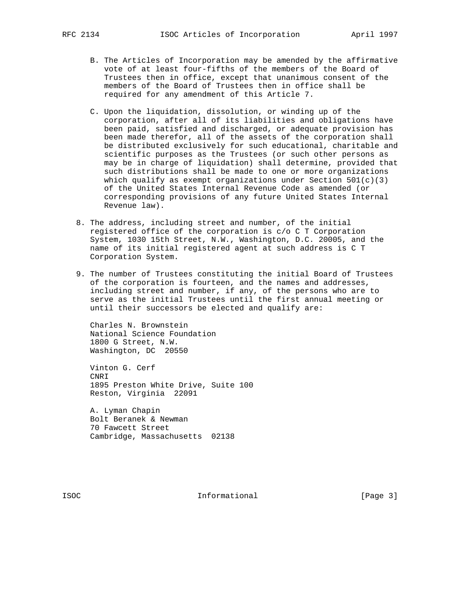- B. The Articles of Incorporation may be amended by the affirmative vote of at least four-fifths of the members of the Board of Trustees then in office, except that unanimous consent of the members of the Board of Trustees then in office shall be required for any amendment of this Article 7.
- C. Upon the liquidation, dissolution, or winding up of the corporation, after all of its liabilities and obligations have been paid, satisfied and discharged, or adequate provision has been made therefor, all of the assets of the corporation shall be distributed exclusively for such educational, charitable and scientific purposes as the Trustees (or such other persons as may be in charge of liquidation) shall determine, provided that such distributions shall be made to one or more organizations which qualify as exempt organizations under Section  $501(c)(3)$  of the United States Internal Revenue Code as amended (or corresponding provisions of any future United States Internal Revenue law).
- 8. The address, including street and number, of the initial registered office of the corporation is c/o C T Corporation System, 1030 15th Street, N.W., Washington, D.C. 20005, and the name of its initial registered agent at such address is C T Corporation System.
- 9. The number of Trustees constituting the initial Board of Trustees of the corporation is fourteen, and the names and addresses, including street and number, if any, of the persons who are to serve as the initial Trustees until the first annual meeting or until their successors be elected and qualify are:

 Charles N. Brownstein National Science Foundation 1800 G Street, N.W. Washington, DC 20550

 Vinton G. Cerf CNRI 1895 Preston White Drive, Suite 100 Reston, Virginia 22091

 A. Lyman Chapin Bolt Beranek & Newman 70 Fawcett Street Cambridge, Massachusetts 02138

ISOC 1999 Informational 1999 [Page 3]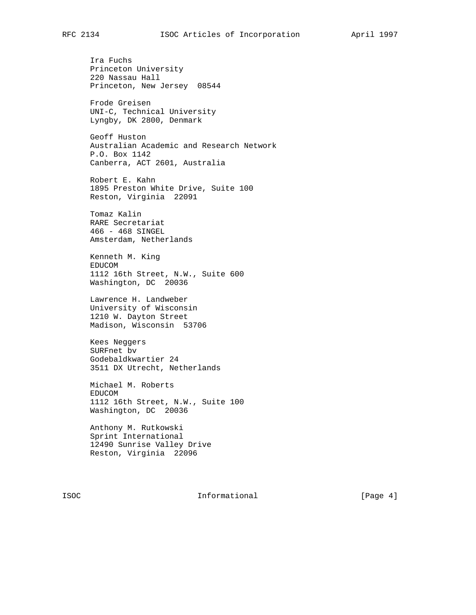Ira Fuchs Princeton University 220 Nassau Hall Princeton, New Jersey 08544

 Frode Greisen UNI-C, Technical University Lyngby, DK 2800, Denmark

 Geoff Huston Australian Academic and Research Network P.O. Box 1142 Canberra, ACT 2601, Australia

 Robert E. Kahn 1895 Preston White Drive, Suite 100 Reston, Virginia 22091

 Tomaz Kalin RARE Secretariat 466 - 468 SINGEL Amsterdam, Netherlands

 Kenneth M. King EDUCOM 1112 16th Street, N.W., Suite 600 Washington, DC 20036

 Lawrence H. Landweber University of Wisconsin 1210 W. Dayton Street Madison, Wisconsin 53706

 Kees Neggers SURFnet bv Godebaldkwartier 24 3511 DX Utrecht, Netherlands

 Michael M. Roberts EDUCOM 1112 16th Street, N.W., Suite 100 Washington, DC 20036

 Anthony M. Rutkowski Sprint International 12490 Sunrise Valley Drive Reston, Virginia 22096

ISOC 1999 Informational 1999 (Page 4)